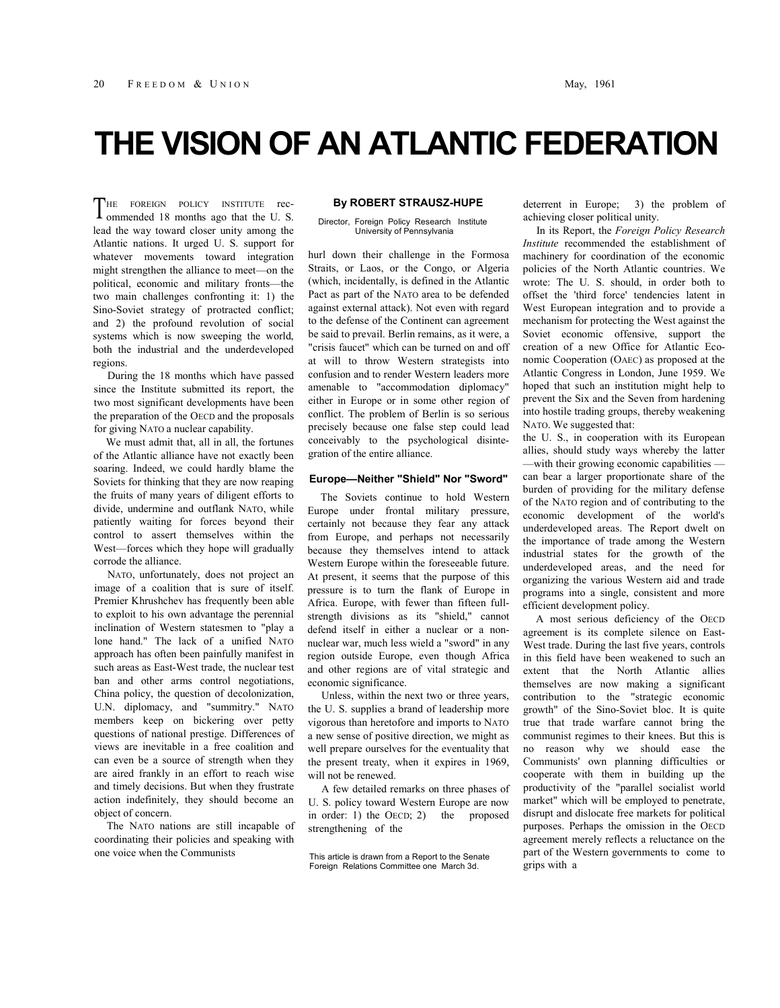# **THE VISION OF AN ATLANTIC FEDERATION**

HE FOREIGN POLICY INSTITUTE rec-THE FOREIGN POLICY INSTITUTE rec-<br>ommended 18 months ago that the U.S. lead the way toward closer unity among the Atlantic nations. It urged U. S. support for whatever movements toward integration might strengthen the alliance to meet—on the political, economic and military fronts—the two main challenges confronting it: 1) the Sino-Soviet strategy of protracted conflict; and 2) the profound revolution of social systems which is now sweeping the world, both the industrial and the underdeveloped regions.

During the 18 months which have passed since the Institute submitted its report, the two most significant developments have been the preparation of the OECD and the proposals for giving NATO a nuclear capability.

We must admit that, all in all, the fortunes of the Atlantic alliance have not exactly been soaring. Indeed, we could hardly blame the Soviets for thinking that they are now reaping the fruits of many years of diligent efforts to divide, undermine and outflank NATO, while patiently waiting for forces beyond their control to assert themselves within the West—forces which they hope will gradually corrode the alliance.

NATO, unfortunately, does not project an image of a coalition that is sure of itself. Premier Khrushchev has frequently been able to exploit to his own advantage the perennial inclination of Western statesmen to "play a lone hand." The lack of a unified NATO approach has often been painfully manifest in such areas as East-West trade, the nuclear test ban and other arms control negotiations, China policy, the question of decolonization, U.N. diplomacy, and "summitry." NATO members keep on bickering over petty questions of national prestige. Differences of views are inevitable in a free coalition and can even be a source of strength when they are aired frankly in an effort to reach wise and timely decisions. But when they frustrate action indefinitely, they should become an object of concern.

The NATO nations are still incapable of coordinating their policies and speaking with one voice when the Communists

## **By ROBERT STRAUSZ-HUPE**

#### Director, Foreign Policy Research Institute University of Pennsylvania

hurl down their challenge in the Formosa Straits, or Laos, or the Congo, or Algeria (which, incidentally, is defined in the Atlantic Pact as part of the NATO area to be defended against external attack). Not even with regard to the defense of the Continent can agreement be said to prevail. Berlin remains, as it were, a "crisis faucet" which can be turned on and off at will to throw Western strategists into confusion and to render Western leaders more amenable to "accommodation diplomacy" either in Europe or in some other region of conflict. The problem of Berlin is so serious precisely because one false step could lead conceivably to the psychological disintegration of the entire alliance.

#### **Europe—Neither "Shield" Nor "Sword"**

The Soviets continue to hold Western Europe under frontal military pressure, certainly not because they fear any attack from Europe, and perhaps not necessarily because they themselves intend to attack Western Europe within the foreseeable future. At present, it seems that the purpose of this pressure is to turn the flank of Europe in Africa. Europe, with fewer than fifteen fullstrength divisions as its "shield," cannot defend itself in either a nuclear or a nonnuclear war, much less wield a "sword" in any region outside Europe, even though Africa and other regions are of vital strategic and economic significance.

Unless, within the next two or three years, the U. S. supplies a brand of leadership more vigorous than heretofore and imports to NATO a new sense of positive direction, we might as well prepare ourselves for the eventuality that the present treaty, when it expires in 1969, will not be renewed.

A few detailed remarks on three phases of U. S. policy toward Western Europe are now in order: 1) the OECD; 2) the proposed strengthening of the

This article is drawn from a Report to the Senate Foreign Relations Committee one March 3d.

deterrent in Europe; 3) the problem of achieving closer political unity.

In its Report, the *Foreign Policy Research Institute* recommended the establishment of machinery for coordination of the economic policies of the North Atlantic countries. We wrote: The U. S. should, in order both to offset the 'third force' tendencies latent in West European integration and to provide a mechanism for protecting the West against the Soviet economic offensive, support the creation of a new Office for Atlantic Economic Cooperation (OAEC) as proposed at the Atlantic Congress in London, June 1959. We hoped that such an institution might help to prevent the Six and the Seven from hardening into hostile trading groups, thereby weakening NATO. We suggested that:

the U. S., in cooperation with its European allies, should study ways whereby the latter —with their growing economic capabilities can bear a larger proportionate share of the burden of providing for the military defense of the NATO region and of contributing to the economic development of the world's underdeveloped areas. The Report dwelt on the importance of trade among the Western industrial states for the growth of the underdeveloped areas, and the need for organizing the various Western aid and trade programs into a single, consistent and more efficient development policy.

A most serious deficiency of the OECD agreement is its complete silence on East-West trade. During the last five years, controls in this field have been weakened to such an extent that the North Atlantic allies themselves are now making a significant contribution to the "strategic economic growth" of the Sino-Soviet bloc. It is quite true that trade warfare cannot bring the communist regimes to their knees. But this is no reason why we should ease the Communists' own planning difficulties or cooperate with them in building up the productivity of the "parallel socialist world market" which will be employed to penetrate, disrupt and dislocate free markets for political purposes. Perhaps the omission in the OECD agreement merely reflects a reluctance on the part of the Western governments to come to grips with a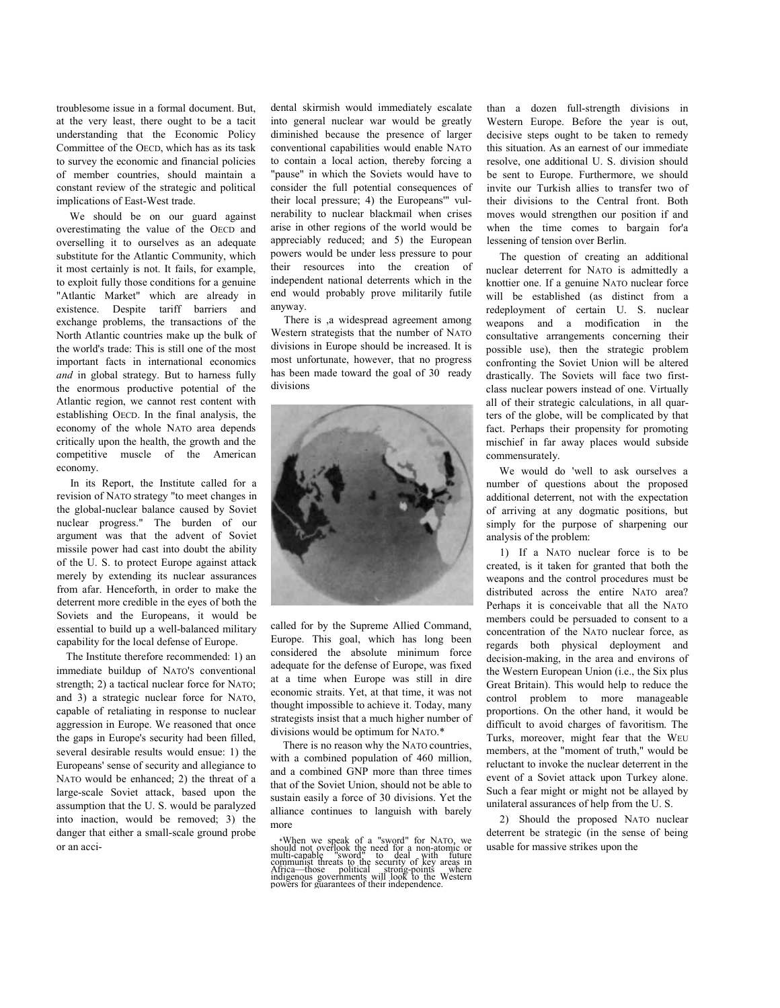troublesome issue in a formal document. But, at the very least, there ought to be a tacit understanding that the Economic Policy Committee of the OECD, which has as its task to survey the economic and financial policies of member countries, should maintain a constant review of the strategic and political implications of East-West trade.

We should be on our guard against overestimating the value of the OECD and overselling it to ourselves as an adequate substitute for the Atlantic Community, which it most certainly is not. It fails, for example, to exploit fully those conditions for a genuine "Atlantic Market" which are already in existence. Despite tariff barriers and exchange problems, the transactions of the North Atlantic countries make up the bulk of the world's trade: This is still one of the most important facts in international economics *and* in global strategy. But to harness fully the enormous productive potential of the Atlantic region, we cannot rest content with establishing OECD. In the final analysis, the economy of the whole NATO area depends critically upon the health, the growth and the competitive muscle of the American economy.

In its Report, the Institute called for a revision of NATO strategy "to meet changes in the global-nuclear balance caused by Soviet nuclear progress." The burden of our argument was that the advent of Soviet missile power had cast into doubt the ability of the U. S. to protect Europe against attack merely by extending its nuclear assurances from afar. Henceforth, in order to make the deterrent more credible in the eyes of both the Soviets and the Europeans, it would be essential to build up a well-balanced military capability for the local defense of Europe.

The Institute therefore recommended: 1) an immediate buildup of NATO'S conventional strength; 2) a tactical nuclear force for NATO; and 3) a strategic nuclear force for NATO, capable of retaliating in response to nuclear aggression in Europe. We reasoned that once the gaps in Europe's security had been filled, several desirable results would ensue: 1) the Europeans' sense of security and allegiance to NATO would be enhanced; 2) the threat of a large-scale Soviet attack, based upon the assumption that the U. S. would be paralyzed into inaction, would be removed; 3) the danger that either a small-scale ground probe or an accidental skirmish would immediately escalate into general nuclear war would be greatly diminished because the presence of larger conventional capabilities would enable NATO to contain a local action, thereby forcing a "pause" in which the Soviets would have to consider the full potential consequences of their local pressure; 4) the Europeans'" vulnerability to nuclear blackmail when crises arise in other regions of the world would be appreciably reduced; and 5) the European powers would be under less pressure to pour their resources into the creation of independent national deterrents which in the end would probably prove militarily futile anyway.

There is ,a widespread agreement among Western strategists that the number of NATO divisions in Europe should be increased. It is most unfortunate, however, that no progress has been made toward the goal of 30 ready divisions



called for by the Supreme Allied Command, Europe. This goal, which has long been considered the absolute minimum force adequate for the defense of Europe, was fixed at a time when Europe was still in dire economic straits. Yet, at that time, it was not thought impossible to achieve it. Today, many strategists insist that a much higher number of divisions would be optimum for NATO.\*

There is no reason why the NATO countries, with a combined population of 460 million, and a combined GNP more than three times that of the Soviet Union, should not be able to sustain easily a force of 30 divisions. Yet the alliance continues to languish with barely more

\*When we speak of a "sword" for NATO, we should not overlook the need for a non-atomic or multi-capable "sword" to deal with future communist threats to the security of key areas in Africa—those political strong-points whe

than a dozen full-strength divisions in Western Europe. Before the year is out, decisive steps ought to be taken to remedy this situation. As an earnest of our immediate resolve, one additional U. S. division should be sent to Europe. Furthermore, we should invite our Turkish allies to transfer two of their divisions to the Central front. Both moves would strengthen our position if and when the time comes to bargain for'a lessening of tension over Berlin.

The question of creating an additional nuclear deterrent for NATO is admittedly a knottier one. If a genuine NATO nuclear force will be established (as distinct from a redeployment of certain U. S. nuclear weapons and a modification in the consultative arrangements concerning their possible use), then the strategic problem confronting the Soviet Union will be altered drastically. The Soviets will face two firstclass nuclear powers instead of one. Virtually all of their strategic calculations, in all quarters of the globe, will be complicated by that fact. Perhaps their propensity for promoting mischief in far away places would subside commensurately.

We would do 'well to ask ourselves a number of questions about the proposed additional deterrent, not with the expectation of arriving at any dogmatic positions, but simply for the purpose of sharpening our analysis of the problem:

1) If a NATO nuclear force is to be created, is it taken for granted that both the weapons and the control procedures must be distributed across the entire NATO area? Perhaps it is conceivable that all the NATO members could be persuaded to consent to a concentration of the NATO nuclear force, as regards both physical deployment and decision-making, in the area and environs of the Western European Union (i.e., the Six plus Great Britain). This would help to reduce the control problem to more manageable proportions. On the other hand, it would be difficult to avoid charges of favoritism. The Turks, moreover, might fear that the WEU members, at the "moment of truth," would be reluctant to invoke the nuclear deterrent in the event of a Soviet attack upon Turkey alone. Such a fear might or might not be allayed by unilateral assurances of help from the U. S.

2) Should the proposed NATO nuclear deterrent be strategic (in the sense of being usable for massive strikes upon the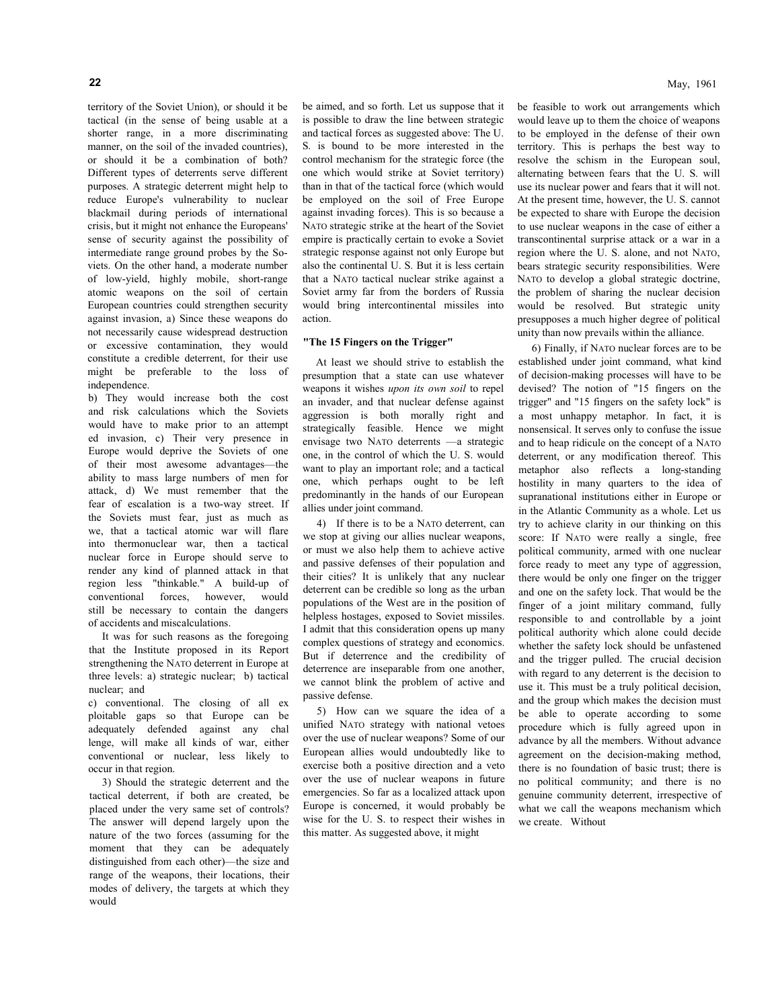territory of the Soviet Union), or should it be tactical (in the sense of being usable at a shorter range, in a more discriminating manner, on the soil of the invaded countries), or should it be a combination of both? Different types of deterrents serve different purposes. A strategic deterrent might help to reduce Europe's vulnerability to nuclear blackmail during periods of international crisis, but it might not enhance the Europeans' sense of security against the possibility of intermediate range ground probes by the Soviets. On the other hand, a moderate number of low-yield, highly mobile, short-range atomic weapons on the soil of certain European countries could strengthen security against invasion, a) Since these weapons do not necessarily cause widespread destruction or excessive contamination, they would constitute a credible deterrent, for their use might be preferable to the loss of independence.

b) They would increase both the cost and risk calculations which the Soviets would have to make prior to an attempt ed invasion, c) Their very presence in Europe would deprive the Soviets of one of their most awesome advantages—the ability to mass large numbers of men for attack, d) We must remember that the fear of escalation is a two-way street. If the Soviets must fear, just as much as we, that a tactical atomic war will flare into thermonuclear war, then a tactical nuclear force in Europe should serve to render any kind of planned attack in that region less "thinkable." A build-up of conventional forces, however, would still be necessary to contain the dangers of accidents and miscalculations.

It was for such reasons as the foregoing that the Institute proposed in its Report strengthening the NATO deterrent in Europe at three levels: a) strategic nuclear; b) tactical nuclear; and

c) conventional. The closing of all ex ploitable gaps so that Europe can be adequately defended against any chal lenge, will make all kinds of war, either conventional or nuclear, less likely to occur in that region.

3) Should the strategic deterrent and the tactical deterrent, if both are created, be placed under the very same set of controls? The answer will depend largely upon the nature of the two forces (assuming for the moment that they can be adequately distinguished from each other)—the size and range of the weapons, their locations, their modes of delivery, the targets at which they would

be aimed, and so forth. Let us suppose that it is possible to draw the line between strategic and tactical forces as suggested above: The U. S. is bound to be more interested in the control mechanism for the strategic force (the one which would strike at Soviet territory) than in that of the tactical force (which would be employed on the soil of Free Europe against invading forces). This is so because a NATO strategic strike at the heart of the Soviet empire is practically certain to evoke a Soviet strategic response against not only Europe but also the continental U. S. But it is less certain that a NATO tactical nuclear strike against a Soviet army far from the borders of Russia would bring intercontinental missiles into action.

### **"The 15 Fingers on the Trigger"**

At least we should strive to establish the presumption that a state can use whatever weapons it wishes *upon its own soil* to repel an invader, and that nuclear defense against aggression is both morally right and strategically feasible. Hence we might envisage two NATO deterrents —a strategic one, in the control of which the U. S. would want to play an important role; and a tactical one, which perhaps ought to be left predominantly in the hands of our European allies under joint command.

4) If there is to be a NATO deterrent, can we stop at giving our allies nuclear weapons, or must we also help them to achieve active and passive defenses of their population and their cities? It is unlikely that any nuclear deterrent can be credible so long as the urban populations of the West are in the position of helpless hostages, exposed to Soviet missiles. I admit that this consideration opens up many complex questions of strategy and economics. But if deterrence and the credibility of deterrence are inseparable from one another, we cannot blink the problem of active and passive defense.

5) How can we square the idea of a unified NATO strategy with national vetoes over the use of nuclear weapons? Some of our European allies would undoubtedly like to exercise both a positive direction and a veto over the use of nuclear weapons in future emergencies. So far as a localized attack upon Europe is concerned, it would probably be wise for the U. S. to respect their wishes in this matter. As suggested above, it might

be feasible to work out arrangements which would leave up to them the choice of weapons to be employed in the defense of their own territory. This is perhaps the best way to resolve the schism in the European soul, alternating between fears that the U. S. will use its nuclear power and fears that it will not. At the present time, however, the U. S. cannot be expected to share with Europe the decision to use nuclear weapons in the case of either a transcontinental surprise attack or a war in a region where the U. S. alone, and not NATO, bears strategic security responsibilities. Were NATO to develop a global strategic doctrine, the problem of sharing the nuclear decision would be resolved. But strategic unity presupposes a much higher degree of political

unity than now prevails within the alliance.

6) Finally, if NATO nuclear forces are to be established under joint command, what kind of decision-making processes will have to be devised? The notion of "15 fingers on the trigger" and "15 fingers on the safety lock" is a most unhappy metaphor. In fact, it is nonsensical. It serves only to confuse the issue and to heap ridicule on the concept of a NATO deterrent, or any modification thereof. This metaphor also reflects a long-standing hostility in many quarters to the idea of supranational institutions either in Europe or in the Atlantic Community as a whole. Let us try to achieve clarity in our thinking on this score: If NATO were really a single, free political community, armed with one nuclear force ready to meet any type of aggression, there would be only one finger on the trigger and one on the safety lock. That would be the finger of a joint military command, fully responsible to and controllable by a joint political authority which alone could decide whether the safety lock should be unfastened and the trigger pulled. The crucial decision with regard to any deterrent is the decision to use it. This must be a truly political decision, and the group which makes the decision must be able to operate according to some procedure which is fully agreed upon in advance by all the members. Without advance agreement on the decision-making method, there is no foundation of basic trust; there is no political community; and there is no genuine community deterrent, irrespective of what we call the weapons mechanism which we create. Without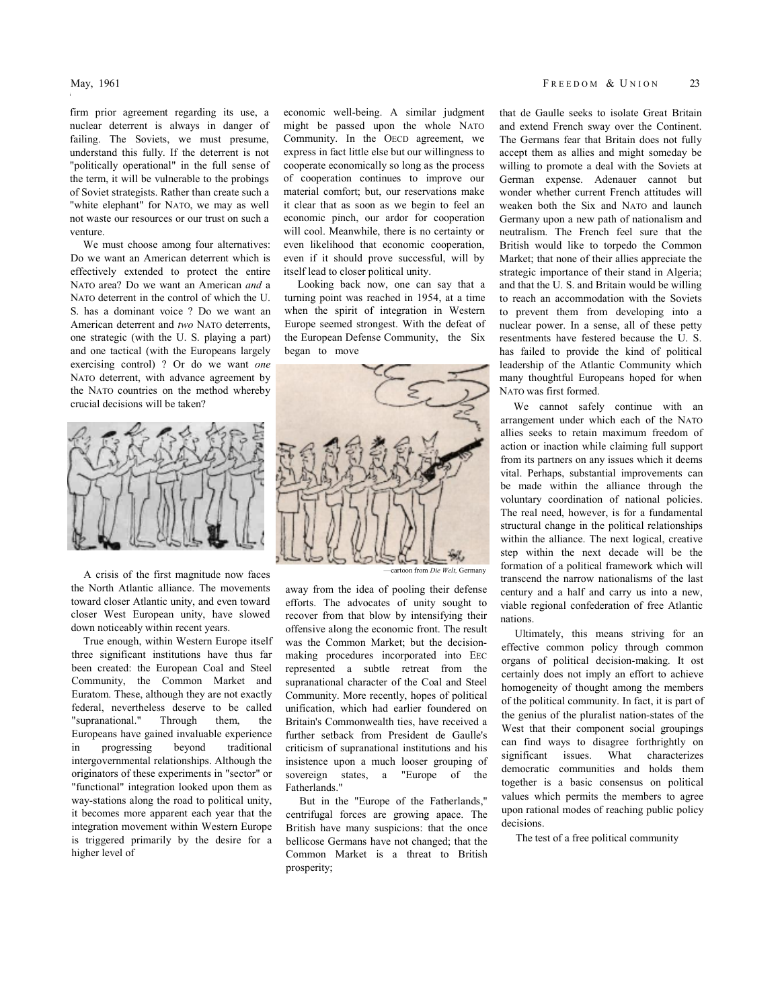firm prior agreement regarding its use, a nuclear deterrent is always in danger of failing. The Soviets, we must presume, understand this fully. If the deterrent is not "politically operational" in the full sense of the term, it will be vulnerable to the probings of Soviet strategists. Rather than create such a "white elephant" for NATO, we may as well not waste our resources or our trust on such a venture.

We must choose among four alternatives: Do we want an American deterrent which is effectively extended to protect the entire NATO area? Do we want an American *and* a NATO deterrent in the control of which the U. S. has a dominant voice ? Do we want an American deterrent and *two* NATO deterrents, one strategic (with the U. S. playing a part) and one tactical (with the Europeans largely exercising control) ? Or do we want *one*  NATO deterrent, with advance agreement by the NATO countries on the method whereby crucial decisions will be taken?



A crisis of the first magnitude now faces the North Atlantic alliance. The movements toward closer Atlantic unity, and even toward closer West European unity, have slowed down noticeably within recent years.

True enough, within Western Europe itself three significant institutions have thus far been created: the European Coal and Steel Community, the Common Market and Euratom. These, although they are not exactly federal, nevertheless deserve to be called "supranational." Through them, the Europeans have gained invaluable experience<br>in progressing beyond traditional in progressing beyond traditional intergovernmental relationships. Although the originators of these experiments in "sector" or "functional" integration looked upon them as way-stations along the road to political unity, it becomes more apparent each year that the integration movement within Western Europe is triggered primarily by the desire for a higher level of

economic well-being. A similar judgment might be passed upon the whole NATO Community. In the OECD agreement, we express in fact little else but our willingness to cooperate economically so long as the process of cooperation continues to improve our material comfort; but, our reservations make it clear that as soon as we begin to feel an economic pinch, our ardor for cooperation will cool. Meanwhile, there is no certainty or even likelihood that economic cooperation, even if it should prove successful, will by itself lead to closer political unity.

Looking back now, one can say that a turning point was reached in 1954, at a time when the spirit of integration in Western Europe seemed strongest. With the defeat of the European Defense Community, the Six began to move



away from the idea of pooling their defense efforts. The advocates of unity sought to recover from that blow by intensifying their offensive along the economic front. The result was the Common Market; but the decisionmaking procedures incorporated into EEC represented a subtle retreat from the supranational character of the Coal and Steel Community. More recently, hopes of political unification, which had earlier foundered on Britain's Commonwealth ties, have received a further setback from President de Gaulle's criticism of supranational institutions and his insistence upon a much looser grouping of sovereign states, a "Europe of the Fatherlands."

But in the "Europe of the Fatherlands," centrifugal forces are growing apace. The British have many suspicions: that the once bellicose Germans have not changed; that the Common Market is a threat to British prosperity;

that de Gaulle seeks to isolate Great Britain and extend French sway over the Continent. The Germans fear that Britain does not fully accept them as allies and might someday be willing to promote a deal with the Soviets at German expense. Adenauer cannot but wonder whether current French attitudes will weaken both the Six and NATO and launch Germany upon a new path of nationalism and neutralism. The French feel sure that the British would like to torpedo the Common Market; that none of their allies appreciate the strategic importance of their stand in Algeria; and that the U. S. and Britain would be willing to reach an accommodation with the Soviets to prevent them from developing into a nuclear power. In a sense, all of these petty resentments have festered because the U. S. has failed to provide the kind of political leadership of the Atlantic Community which many thoughtful Europeans hoped for when NATO was first formed.

We cannot safely continue with an arrangement under which each of the NATO allies seeks to retain maximum freedom of action or inaction while claiming full support from its partners on any issues which it deems vital. Perhaps, substantial improvements can be made within the alliance through the voluntary coordination of national policies. The real need, however, is for a fundamental structural change in the political relationships within the alliance. The next logical, creative step within the next decade will be the formation of a political framework which will transcend the narrow nationalisms of the last century and a half and carry us into a new, viable regional confederation of free Atlantic nations.

Ultimately, this means striving for an effective common policy through common organs of political decision-making. It ost certainly does not imply an effort to achieve homogeneity of thought among the members of the political community. In fact, it is part of the genius of the pluralist nation-states of the West that their component social groupings can find ways to disagree forthrightly on significant issues. What characterizes democratic communities and holds them together is a basic consensus on political values which permits the members to agree upon rational modes of reaching public policy decisions.

The test of a free political community